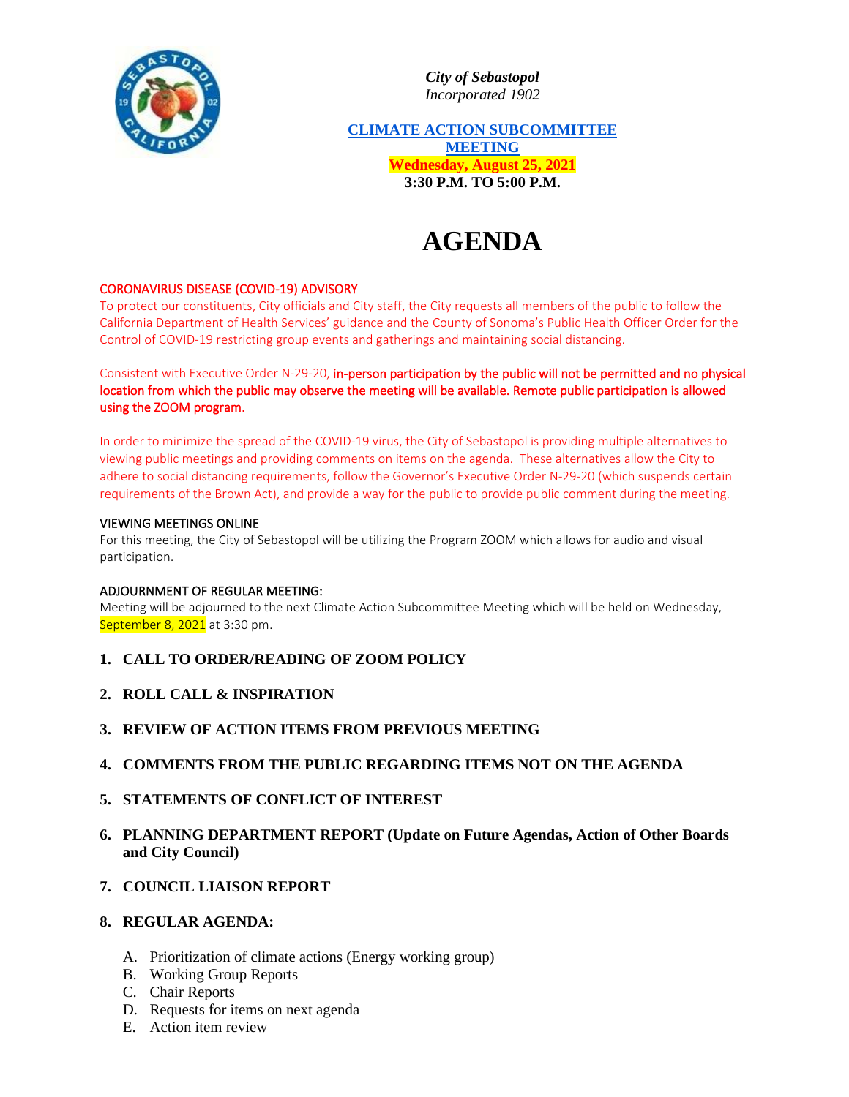

*City of Sebastopol Incorporated 1902*

**CLIMATE ACTION SUBCOMMITTEE MEETING Wednesday, August 25, 2021 3:30 P.M. TO 5:00 P.M.**

# **AGENDA**

## CORONAVIRUS DISEASE (COVID-19) ADVISORY

To protect our constituents, City officials and City staff, the City requests all members of the public to follow the California Department of Health Services' guidance and the County of Sonoma's Public Health Officer Order for the Control of COVID-19 restricting group events and gatherings and maintaining social distancing.

Consistent with Executive Order N-29-20, in-person participation by the public will not be permitted and no physical location from which the public may observe the meeting will be available. Remote public participation is allowed using the ZOOM program.

In order to minimize the spread of the COVID-19 virus, the City of Sebastopol is providing multiple alternatives to viewing public meetings and providing comments on items on the agenda. These alternatives allow the City to adhere to social distancing requirements, follow the Governor's Executive Order N-29-20 (which suspends certain requirements of the Brown Act), and provide a way for the public to provide public comment during the meeting.

#### VIEWING MEETINGS ONLINE

For this meeting, the City of Sebastopol will be utilizing the Program ZOOM which allows for audio and visual participation.

### ADJOURNMENT OF REGULAR MEETING:

Meeting will be adjourned to the next Climate Action Subcommittee Meeting which will be held on Wednesday, September 8, 2021 at 3:30 pm.

- **1. CALL TO ORDER/READING OF ZOOM POLICY**
- **2. ROLL CALL & INSPIRATION**
- **3. REVIEW OF ACTION ITEMS FROM PREVIOUS MEETING**
- **4. COMMENTS FROM THE PUBLIC REGARDING ITEMS NOT ON THE AGENDA**
- **5. STATEMENTS OF CONFLICT OF INTEREST**
- **6. PLANNING DEPARTMENT REPORT (Update on Future Agendas, Action of Other Boards and City Council)**
- **7. COUNCIL LIAISON REPORT**

## **8. REGULAR AGENDA:**

- A. Prioritization of climate actions (Energy working group)
- B. Working Group Reports
- C. Chair Reports
- D. Requests for items on next agenda
- E. Action item review